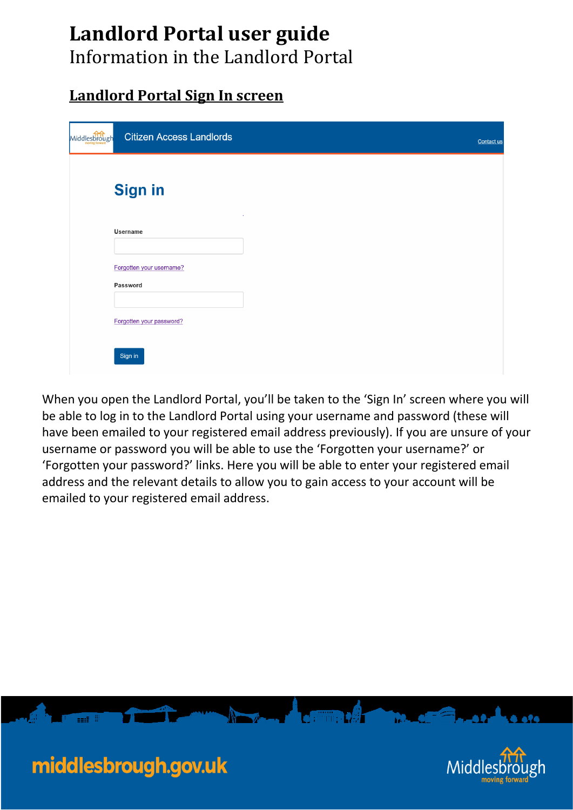# **Landlord Portal user guide**

Information in the Landlord Portal

## **Landlord Portal Sign In screen**

| Middlesbrough | <b>Citizen Access Landlords</b>      | Contact us |
|---------------|--------------------------------------|------------|
|               | <b>Sign in</b>                       |            |
|               | <b>Username</b>                      |            |
|               | Forgotten your username?<br>Password |            |
|               | Forgotten your password?             |            |
|               | Sign in                              |            |

When you open the Landlord Portal, you'll be taken to the 'Sign In' screen where you will be able to log in to the Landlord Portal using your username and password (these will have been emailed to your registered email address previously). If you are unsure of your username or password you will be able to use the 'Forgotten your username?' or 'Forgotten your password?' links. Here you will be able to enter your registered email address and the relevant details to allow you to gain access to your account will be emailed to your registered email address.

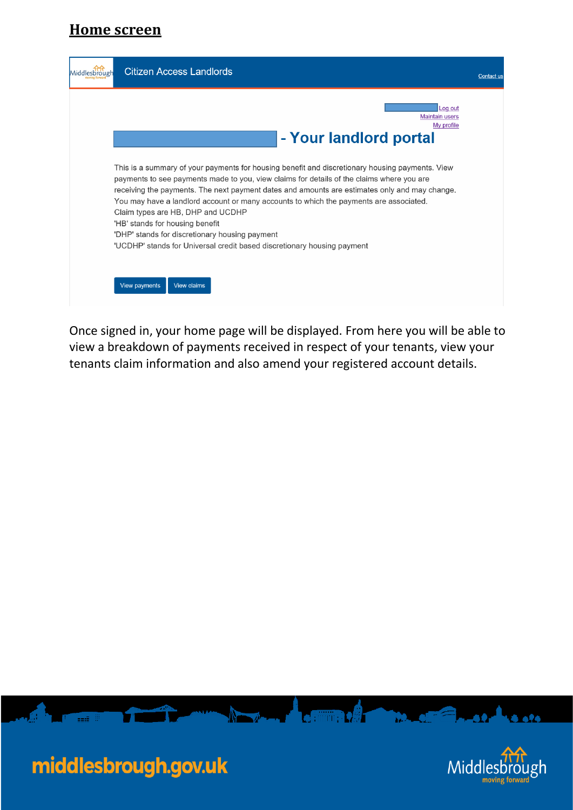### **Home screen**

| Middlesbrough | <b>Citizen Access Landlords</b>                                                                                                                                                                                                                                                                                                                                                                                                                                                                                                                                                              | Contact us |
|---------------|----------------------------------------------------------------------------------------------------------------------------------------------------------------------------------------------------------------------------------------------------------------------------------------------------------------------------------------------------------------------------------------------------------------------------------------------------------------------------------------------------------------------------------------------------------------------------------------------|------------|
|               | Loa out<br><b>Maintain users</b><br>My profile<br>- Your landlord portal                                                                                                                                                                                                                                                                                                                                                                                                                                                                                                                     |            |
|               | This is a summary of your payments for housing benefit and discretionary housing payments. View<br>payments to see payments made to you, view claims for details of the claims where you are<br>receiving the payments. The next payment dates and amounts are estimates only and may change.<br>You may have a landlord account or many accounts to which the payments are associated.<br>Claim types are HB, DHP and UCDHP<br>'HB' stands for housing benefit<br>'DHP' stands for discretionary housing payment<br>'UCDHP' stands for Universal credit based discretionary housing payment |            |
|               | View payments<br><b>View claims</b>                                                                                                                                                                                                                                                                                                                                                                                                                                                                                                                                                          |            |

Once signed in, your home page will be displayed. From here you will be able to view a breakdown of payments received in respect of your tenants, view your tenants claim information and also amend your registered account details.

 $\sqrt{2\pi}$ 





الوقوع ويطلبونهن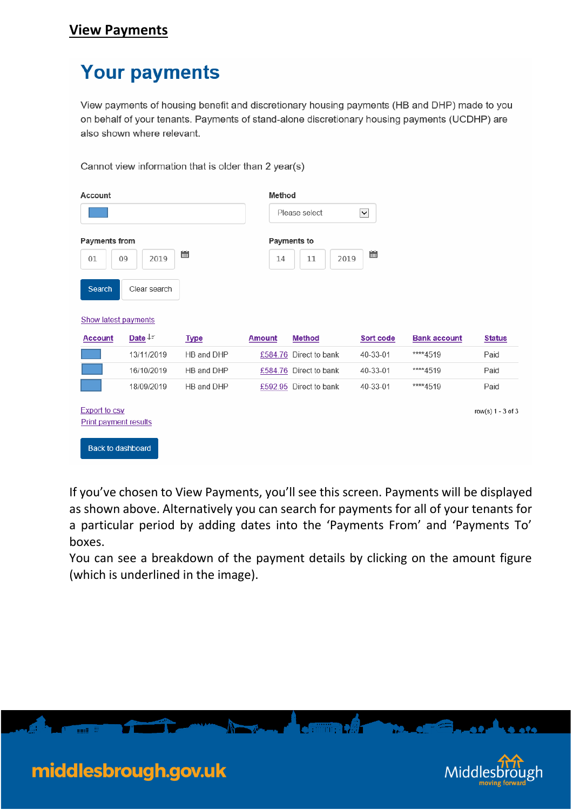## **Your payments**

Cannot view information that is older than 2 year(s)

View payments of housing benefit and discretionary housing payments (HB and DHP) made to you on behalf of your tenants. Payments of stand-alone discretionary housing payments (UCDHP) are also shown where relevant.

| Account                                                                          |                          |             | Method        | Please select             | $\overline{\mathbf{v}}$ |                     |                   |
|----------------------------------------------------------------------------------|--------------------------|-------------|---------------|---------------------------|-------------------------|---------------------|-------------------|
| <b>Payments from</b><br>01<br>09                                                 | 2019                     | 匾           | 14            | Payments to<br>11<br>2019 | 匾                       |                     |                   |
| Search                                                                           | Clear search             |             |               |                           |                         |                     |                   |
| Show latest payments                                                             |                          |             |               |                           |                         |                     |                   |
| <b>Account</b>                                                                   | Date $\downarrow \equiv$ | <b>Type</b> | <b>Amount</b> | <b>Method</b>             | Sort code               | <b>Bank account</b> | <b>Status</b>     |
|                                                                                  | 13/11/2019               | HB and DHP  |               | £584.76 Direct to bank    | 40-33-01                | ****4519            | Paid              |
|                                                                                  | 16/10/2019               | HB and DHP  |               | £584.76 Direct to bank    | 40-33-01                | ****4519            | Paid              |
|                                                                                  | 18/09/2019               | HB and DHP  |               | £592.95 Direct to bank    | 40-33-01                | ****4519            | Paid              |
| <b>Export to csv</b><br><b>Print payment results</b><br><b>Back to dashboard</b> |                          |             |               |                           |                         |                     | row(s) 1 - 3 of 3 |

If you've chosen to View Payments, you'll see this screen. Payments will be displayed as shown above. Alternatively you can search for payments for all of your tenants for a particular period by adding dates into the 'Payments From' and 'Payments To' boxes.

You can see a breakdown of the payment details by clicking on the amount figure (which is underlined in the image).

 $\bullet$  finite  $\bullet$   $\theta$   $\bullet$ 

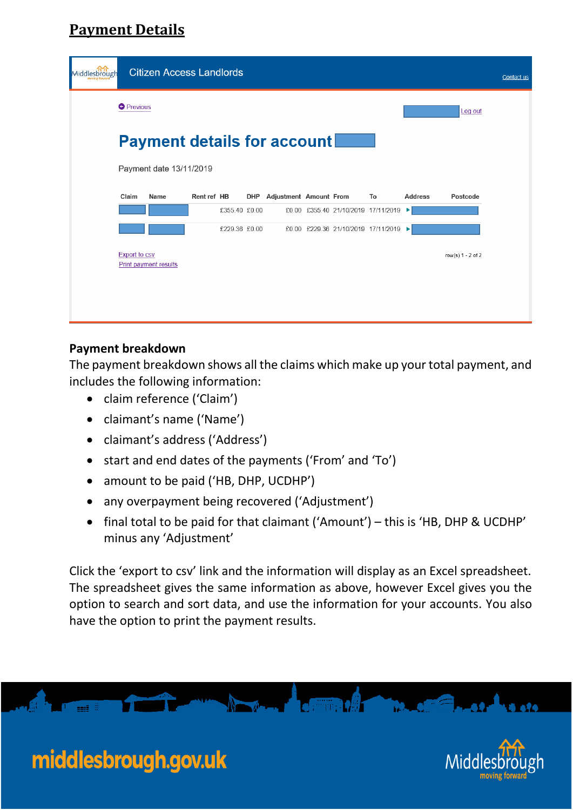## **Payment Details**

| Middlesbrough |                      | <b>Citizen Access Landlords</b>    |             |               |                            |  |                                       |                |                   | Contact us |
|---------------|----------------------|------------------------------------|-------------|---------------|----------------------------|--|---------------------------------------|----------------|-------------------|------------|
|               | <b>O</b> Previous    |                                    |             |               |                            |  |                                       |                | Log out           |            |
|               |                      | <b>Payment details for account</b> |             |               |                            |  |                                       |                |                   |            |
|               |                      | Payment date 13/11/2019            |             |               |                            |  |                                       |                |                   |            |
|               | Claim                | Name                               | Rent ref HB |               | DHP Adjustment Amount From |  | To                                    | <b>Address</b> | Postcode          |            |
|               |                      |                                    |             | £355.40 £0.00 |                            |  | £0.00 £355.40 21/10/2019 17/11/2019   | ▸              |                   |            |
|               |                      |                                    |             | £229.36 £0.00 |                            |  | £0.00 £229.36 21/10/2019 17/11/2019 ▶ |                |                   |            |
|               | <b>Export to csv</b> | <b>Print payment results</b>       |             |               |                            |  |                                       |                | row(s) 1 - 2 of 2 |            |

### **Payment breakdown**

middlesbrough.gov.uk

The payment breakdown shows all the claims which make up your total payment, and includes the following information:

- claim reference ('Claim')
- claimant's name ('Name')
- claimant's address ('Address')
- start and end dates of the payments ('From' and 'To')
- amount to be paid ('HB, DHP, UCDHP')
- any overpayment being recovered ('Adjustment')
- final total to be paid for that claimant ('Amount') this is 'HB, DHP & UCDHP' minus any 'Adjustment'

Click the 'export to csv' link and the information will display as an Excel spreadsheet. The spreadsheet gives the same information as above, however Excel gives you the option to search and sort data, and use the information for your accounts. You also have the option to print the payment results.



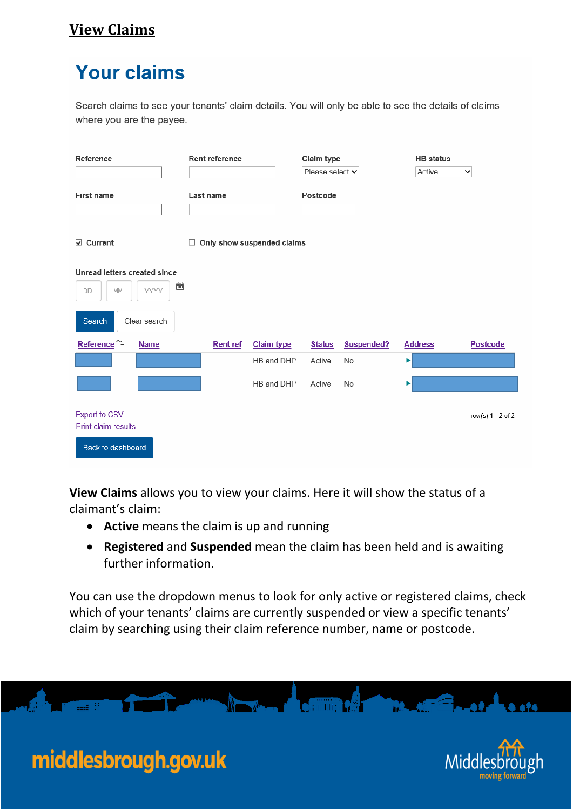## **View Claims**

## **Your claims**

Search claims to see your tenants' claim details. You will only be able to see the details of claims where you are the payee.

| Reference                                                        | Rent reference  |                            | Claim type<br>Please select v |            | <b>HB</b> status<br>Active | $\checkmark$      |
|------------------------------------------------------------------|-----------------|----------------------------|-------------------------------|------------|----------------------------|-------------------|
| <b>First name</b>                                                | Last name       |                            | Postcode                      |            |                            |                   |
| $\vee$ Current                                                   | П               | Only show suspended claims |                               |            |                            |                   |
| Unread letters created since<br>Ë<br><b>YYYY</b><br>MM<br>DD     |                 |                            |                               |            |                            |                   |
| Clear search<br>Search                                           |                 |                            |                               |            |                            |                   |
| Reference <sup>↑≞</sup><br><b>Name</b>                           | <b>Rent ref</b> | <b>Claim type</b>          | <b>Status</b>                 | Suspended? | <b>Address</b>             | <b>Postcode</b>   |
|                                                                  |                 | HB and DHP                 | Active                        | No         | ▶                          |                   |
|                                                                  |                 | HB and DHP                 | Active                        | <b>No</b>  | ▶                          |                   |
| <b>Export to CSV</b><br>Print claim results<br>Back to dashboard |                 |                            |                               |            |                            | row(s) 1 - 2 of 2 |

**View Claims** allows you to view your claims. Here it will show the status of a claimant's claim:

- **Active** means the claim is up and running
- **Registered** and **Suspended** mean the claim has been held and is awaiting further information.

You can use the dropdown menus to look for only active or registered claims, check which of your tenants' claims are currently suspended or view a specific tenants' claim by searching using their claim reference number, name or postcode.



a ata

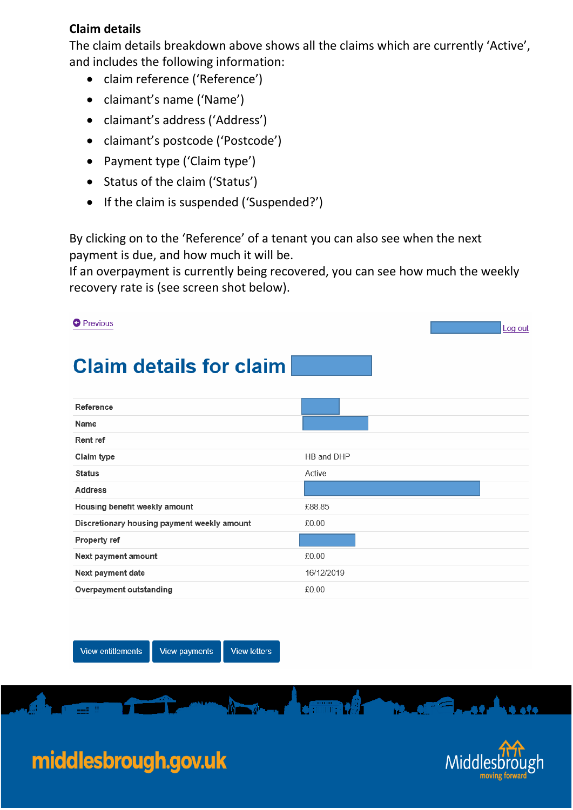### **Claim details**

The claim details breakdown above shows all the claims which are currently 'Active', and includes the following information:

- claim reference ('Reference')
- claimant's name ('Name')
- claimant's address ('Address')
- claimant's postcode ('Postcode')
- Payment type ('Claim type')
- Status of the claim ('Status')
- If the claim is suspended ('Suspended?')

By clicking on to the 'Reference' of a tenant you can also see when the next payment is due, and how much it will be.

If an overpayment is currently being recovered, you can see how much the weekly recovery rate is (see screen shot below).

| <b>O</b> Previous                           | Log out    |
|---------------------------------------------|------------|
| <b>Claim details for claim</b>              |            |
| Reference                                   |            |
| Name                                        |            |
| Rent ref                                    |            |
| Claim type                                  | HB and DHP |
| <b>Status</b>                               | Active     |
| <b>Address</b>                              |            |
| Housing benefit weekly amount               | £88.85     |
| Discretionary housing payment weekly amount | £0.00      |
| Property ref                                |            |
| Next payment amount                         | £0.00      |
| Next payment date                           | 16/12/2019 |
| Overpayment outstanding                     | £0.00      |
|                                             |            |

**View entitlements** 

**View payments View letters** 

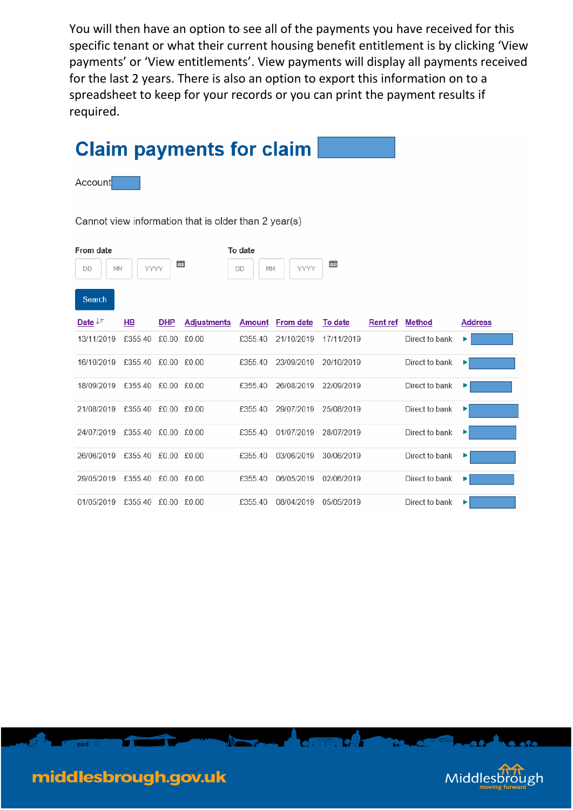You will then have an option to see all of the payments you have received for this specific tenant or what their current housing benefit entitlement is by clicking 'View payments' or 'View entitlements'. View payments will display all payments received for the last 2 years. There is also an option to export this information on to a spreadsheet to keep for your records or you can print the payment results if required.

|                                 |                     |            | <b>Claim payments for claim</b>                      |                     |                  |            |          |                |                |
|---------------------------------|---------------------|------------|------------------------------------------------------|---------------------|------------------|------------|----------|----------------|----------------|
| Account                         |                     |            |                                                      |                     |                  |            |          |                |                |
|                                 |                     |            | Cannot view information that is older than 2 year(s) |                     |                  |            |          |                |                |
| From date<br>DD<br>МM<br>Search | YYYY                | 圌          |                                                      | To date<br>DD<br>MM | YYYY             | 匾          |          |                |                |
| Date $\downarrow \equiv$        | HB                  | <b>DHP</b> | <b>Adjustments</b>                                   | <b>Amount</b>       | <b>From date</b> | To date    | Rent ref | <b>Method</b>  | <b>Address</b> |
| 13/11/2019                      | £355.40             |            | £0.00 £0.00                                          | £355.40             | 21/10/2019       | 17/11/2019 |          | Direct to bank | ▶              |
| 16/10/2019                      | £355.40 £0.00 £0.00 |            |                                                      | £355.40             | 23/09/2019       | 20/10/2019 |          | Direct to bank | ▶              |
| 18/09/2019 £355.40 £0.00 £0.00  |                     |            |                                                      | £355.40             | 26/08/2019       | 22/09/2019 |          | Direct to bank |                |
| 21/08/2019 £355.40 £0.00 £0.00  |                     |            |                                                      | £355.40             | 29/07/2019       | 25/08/2019 |          | Direct to bank | ▶              |
| 24/07/2019 £355.40 £0.00 £0.00  |                     |            |                                                      | £355.40             | 01/07/2019       | 28/07/2019 |          | Direct to bank | ▶              |
| 26/06/2019                      | £355.40 £0.00 £0.00 |            |                                                      | £355.40             | 03/06/2019       | 30/06/2019 |          | Direct to bank | ▶              |
| 29/05/2019 £355.40 £0.00 £0.00  |                     |            |                                                      | £355.40             | 06/05/2019       | 02/06/2019 |          | Direct to bank | ▶              |
| 01/05/2019 £355.40 £0.00 £0.00  |                     |            |                                                      | £355.40             | 08/04/2019       | 05/05/2019 |          | Direct to bank | ▶              |

 $\sqrt{2}$  . The same  $\sqrt{2}$ 

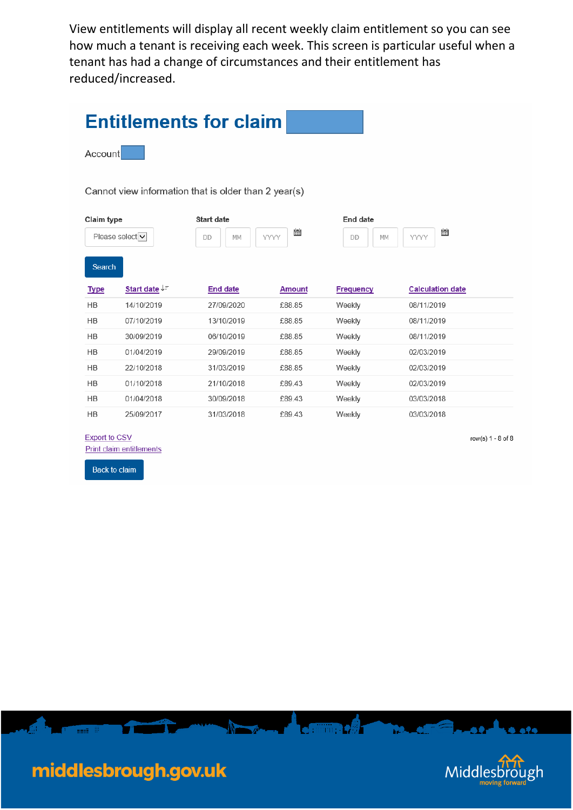View entitlements will display all recent weekly claim entitlement so you can see how much a tenant is receiving each week. This screen is particular useful when a tenant has had a change of circumstances and their entitlement has reduced/increased.

| Account<br>Cannot view information that is older than 2 year(s)<br>Claim type<br><b>Start date</b><br>End date<br>圖<br>Please select v<br>YYYY<br>YYYY<br>MM<br>MM<br>DD<br>DD<br>Search<br>Start date JF<br><b>End date</b><br><b>Frequency</b><br><b>Type</b><br><b>Amount</b><br>14/10/2019<br>27/09/2020<br>£88.85<br>Weekly<br><b>HB</b><br>07/10/2019<br><b>HB</b><br>13/10/2019<br>£88.85<br>Weekly<br>HB<br>30/09/2019<br>06/10/2019<br>£88.85<br>Weekly<br>HB<br>01/04/2019<br>£88.85<br>29/09/2019<br>Weekly<br>HB<br>22/10/2018<br>31/03/2019<br>£88.85<br>Weekly<br>HB<br>01/10/2018<br>21/10/2018<br>£89.43<br>Weekly<br>HB<br>01/04/2018<br>30/09/2018<br>£89.43<br>Weekly<br>HB<br>Weekly<br>25/09/2017<br>31/03/2018<br>£89.43 | <b>Entitlements for claim</b> |  |  |  |  |  |  |  |  |
|------------------------------------------------------------------------------------------------------------------------------------------------------------------------------------------------------------------------------------------------------------------------------------------------------------------------------------------------------------------------------------------------------------------------------------------------------------------------------------------------------------------------------------------------------------------------------------------------------------------------------------------------------------------------------------------------------------------------------------------------|-------------------------------|--|--|--|--|--|--|--|--|
|                                                                                                                                                                                                                                                                                                                                                                                                                                                                                                                                                                                                                                                                                                                                                |                               |  |  |  |  |  |  |  |  |
|                                                                                                                                                                                                                                                                                                                                                                                                                                                                                                                                                                                                                                                                                                                                                |                               |  |  |  |  |  |  |  |  |
|                                                                                                                                                                                                                                                                                                                                                                                                                                                                                                                                                                                                                                                                                                                                                | 圖                             |  |  |  |  |  |  |  |  |
|                                                                                                                                                                                                                                                                                                                                                                                                                                                                                                                                                                                                                                                                                                                                                |                               |  |  |  |  |  |  |  |  |
|                                                                                                                                                                                                                                                                                                                                                                                                                                                                                                                                                                                                                                                                                                                                                | <b>Calculation date</b>       |  |  |  |  |  |  |  |  |
|                                                                                                                                                                                                                                                                                                                                                                                                                                                                                                                                                                                                                                                                                                                                                | 08/11/2019                    |  |  |  |  |  |  |  |  |
|                                                                                                                                                                                                                                                                                                                                                                                                                                                                                                                                                                                                                                                                                                                                                | 08/11/2019                    |  |  |  |  |  |  |  |  |
|                                                                                                                                                                                                                                                                                                                                                                                                                                                                                                                                                                                                                                                                                                                                                | 08/11/2019                    |  |  |  |  |  |  |  |  |
|                                                                                                                                                                                                                                                                                                                                                                                                                                                                                                                                                                                                                                                                                                                                                | 02/03/2019                    |  |  |  |  |  |  |  |  |
|                                                                                                                                                                                                                                                                                                                                                                                                                                                                                                                                                                                                                                                                                                                                                | 02/03/2019                    |  |  |  |  |  |  |  |  |
|                                                                                                                                                                                                                                                                                                                                                                                                                                                                                                                                                                                                                                                                                                                                                | 02/03/2019                    |  |  |  |  |  |  |  |  |
|                                                                                                                                                                                                                                                                                                                                                                                                                                                                                                                                                                                                                                                                                                                                                | 03/03/2018                    |  |  |  |  |  |  |  |  |
|                                                                                                                                                                                                                                                                                                                                                                                                                                                                                                                                                                                                                                                                                                                                                | 03/03/2018                    |  |  |  |  |  |  |  |  |
| <b>Export to CSV</b><br><b>Print claim entitlements</b><br><b>Back to claim</b>                                                                                                                                                                                                                                                                                                                                                                                                                                                                                                                                                                                                                                                                | row(s) $1 - 8$ of $8$         |  |  |  |  |  |  |  |  |

**All Angeles Angeles Comment of the Comment of the Comment of the Comment of the Comment of the Comment of the** 



**APA** 

- 0

T.O